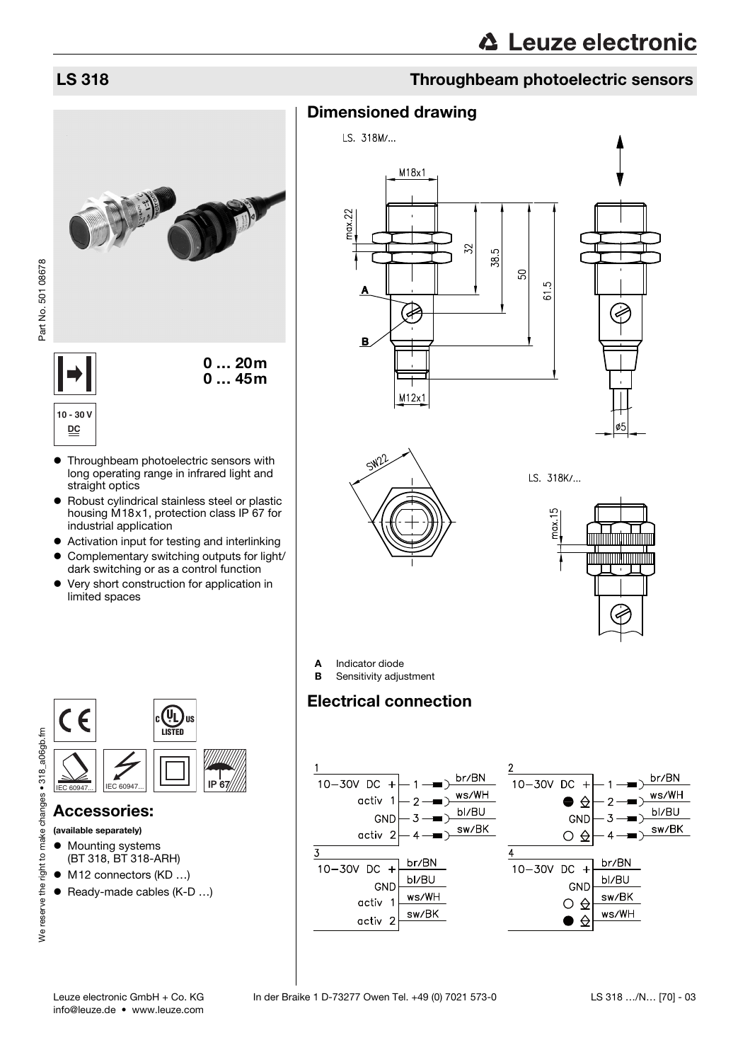# LS 318 Throughbeam photoelectric sensors





**10 - 30 V**

**DC**

- Throughbeam photoelectric sensors with long operating range in infrared light and straight optics
- Robust cylindrical stainless steel or plastic housing M18x1, protection class IP 67 for industrial application
- Activation input for testing and interlinking
- $\bullet$  Complementary switching outputs for light/ dark switching or as a control function
- Very short construction for application in limited spaces



Dimensioned drawing

LS. 318M/...



ىئے



**B** Sensitivity adjustment

# Electrical connection





## Accessories:

(available separately)

We reserve the right to make changes • 318 a06gb.fm

- Mounting systems (BT 318, BT 318-ARH)
- $\bullet$  M12 connectors (KD ...)
- $\bullet$  Ready-made cables (K-D ...)